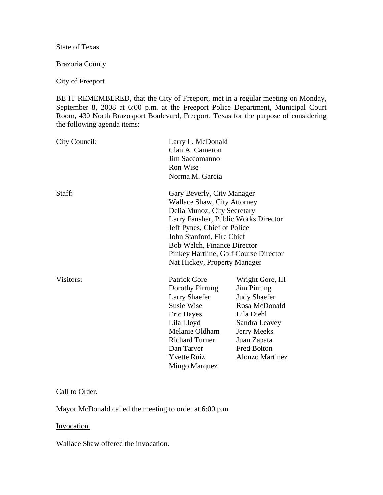State of Texas

Brazoria County

City of Freeport

BE IT REMEMBERED, that the City of Freeport, met in a regular meeting on Monday, September 8, 2008 at 6:00 p.m. at the Freeport Police Department, Municipal Court Room, 430 North Brazosport Boulevard, Freeport, Texas for the purpose of considering the following agenda items:

| City Council: | Clan A. Cameron<br>Jim Saccomanno<br><b>Ron Wise</b><br>Norma M. Garcia                                                                                                                                                                                                                                            | Larry L. McDonald                                                                                                                                                                    |  |
|---------------|--------------------------------------------------------------------------------------------------------------------------------------------------------------------------------------------------------------------------------------------------------------------------------------------------------------------|--------------------------------------------------------------------------------------------------------------------------------------------------------------------------------------|--|
| Staff:        | Gary Beverly, City Manager<br><b>Wallace Shaw, City Attorney</b><br>Delia Munoz, City Secretary<br>Larry Fansher, Public Works Director<br>Jeff Pynes, Chief of Police<br>John Stanford, Fire Chief<br><b>Bob Welch, Finance Director</b><br>Pinkey Hartline, Golf Course Director<br>Nat Hickey, Property Manager |                                                                                                                                                                                      |  |
| Visitors:     | <b>Patrick Gore</b><br>Dorothy Pirrung<br>Larry Shaefer<br><b>Susie Wise</b><br>Eric Hayes<br>Lila Lloyd<br>Melanie Oldham<br><b>Richard Turner</b><br>Dan Tarver<br><b>Yvette Ruiz</b><br>Mingo Marquez                                                                                                           | Wright Gore, III<br>Jim Pirrung<br><b>Judy Shaefer</b><br>Rosa McDonald<br>Lila Diehl<br>Sandra Leavey<br>Jerry Meeks<br>Juan Zapata<br><b>Fred Bolton</b><br><b>Alonzo Martinez</b> |  |

#### Call to Order.

Mayor McDonald called the meeting to order at 6:00 p.m.

Invocation.

Wallace Shaw offered the invocation.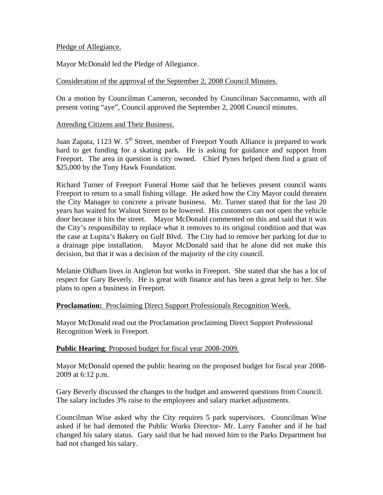### Pledge of Allegiance.

Mayor McDonald led the Pledge of Allegiance.

### Consideration of the approval of the September 2, 2008 Council Minutes.

On a motion by Councilman Cameron, seconded by Councilman Saccomanno, with all present voting "aye", Council approved the September 2, 2008 Council minutes.

#### Attending Citizens and Their Business.

Juan Zapata, 1123 W. 5<sup>th</sup> Street, member of Freeport Youth Alliance is prepared to work hard to get funding for a skating park. He is asking for guidance and support from Freeport. The area in question is city owned. Chief Pynes helped them find a grant of \$25,000 by the Tony Hawk Foundation.

Richard Turner of Freeport Funeral Home said that he believes present council wants Freeport to return to a small fishing village. He asked how the City Mayor could threaten the City Manager to concrete a private business. Mr. Turner stated that for the last 20 years has waited for Walnut Street to be lowered. His customers can not open the vehicle door because it hits the street. Mayor McDonald commented on this and said that it was the City's responsibility to replace what it removes to its original condition and that was the case at Lupita's Bakery on Gulf Blvd. The City had to remove her parking lot due to a drainage pipe installation. Mayor McDonald said that he alone did not make this decision, but that it was a decision of the majority of the city council.

Melanie Oldham lives in Angleton but works in Freeport. She stated that she has a lot of respect for Gary Beverly. He is great with finance and has been a great help to her. She plans to open a business in Freeport.

# **Proclamation:** Proclaiming Direct Support Professionals Recognition Week.

Mayor McDonald read out the Proclamation proclaiming Direct Support Professional Recognition Week in Freeport.

# **Public Hearing**: Proposed budget for fiscal year 2008-2009.

Mayor McDonald opened the public hearing on the proposed budget for fiscal year 2008- 2009 at 6:12 p.m.

Gary Beverly discussed the changes to the budget and answered questions from Council. The salary includes 3% raise to the employees and salary market adjustments.

Councilman Wise asked why the City requires 5 park supervisors. Councilman Wise asked if he had demoted the Public Works Director- Mr. Larry Fansher and if he had changed his salary status. Gary said that he had moved him to the Parks Department but had not changed his salary.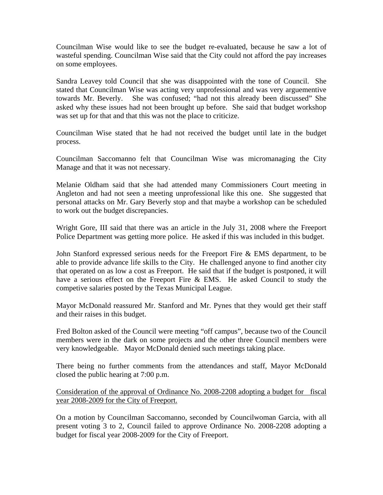Councilman Wise would like to see the budget re-evaluated, because he saw a lot of wasteful spending. Councilman Wise said that the City could not afford the pay increases on some employees.

Sandra Leavey told Council that she was disappointed with the tone of Council. She stated that Councilman Wise was acting very unprofessional and was very arguementive towards Mr. Beverly. She was confused; "had not this already been discussed" She asked why these issues had not been brought up before. She said that budget workshop was set up for that and that this was not the place to criticize.

Councilman Wise stated that he had not received the budget until late in the budget process.

Councilman Saccomanno felt that Councilman Wise was micromanaging the City Manage and that it was not necessary.

Melanie Oldham said that she had attended many Commissioners Court meeting in Angleton and had not seen a meeting unprofessional like this one. She suggested that personal attacks on Mr. Gary Beverly stop and that maybe a workshop can be scheduled to work out the budget discrepancies.

Wright Gore, III said that there was an article in the July 31, 2008 where the Freeport Police Department was getting more police. He asked if this was included in this budget.

John Stanford expressed serious needs for the Freeport Fire & EMS department, to be able to provide advance life skills to the City. He challenged anyone to find another city that operated on as low a cost as Freeport. He said that if the budget is postponed, it will have a serious effect on the Freeport Fire & EMS. He asked Council to study the competive salaries posted by the Texas Municipal League.

Mayor McDonald reassured Mr. Stanford and Mr. Pynes that they would get their staff and their raises in this budget.

Fred Bolton asked of the Council were meeting "off campus", because two of the Council members were in the dark on some projects and the other three Council members were very knowledgeable. Mayor McDonald denied such meetings taking place.

There being no further comments from the attendances and staff, Mayor McDonald closed the public hearing at 7:00 p.m.

Consideration of the approval of Ordinance No. 2008-2208 adopting a budget for fiscal year 2008-2009 for the City of Freeport.

On a motion by Councilman Saccomanno, seconded by Councilwoman Garcia, with all present voting 3 to 2, Council failed to approve Ordinance No. 2008-2208 adopting a budget for fiscal year 2008-2009 for the City of Freeport.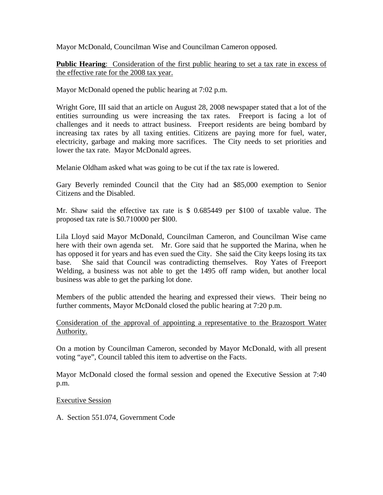Mayor McDonald, Councilman Wise and Councilman Cameron opposed.

**Public Hearing**: Consideration of the first public hearing to set a tax rate in excess of the effective rate for the 2008 tax year.

Mayor McDonald opened the public hearing at 7:02 p.m.

Wright Gore, III said that an article on August 28, 2008 newspaper stated that a lot of the entities surrounding us were increasing the tax rates. Freeport is facing a lot of challenges and it needs to attract business. Freeport residents are being bombard by increasing tax rates by all taxing entities. Citizens are paying more for fuel, water, electricity, garbage and making more sacrifices. The City needs to set priorities and lower the tax rate. Mayor McDonald agrees.

Melanie Oldham asked what was going to be cut if the tax rate is lowered.

Gary Beverly reminded Council that the City had an \$85,000 exemption to Senior Citizens and the Disabled.

Mr. Shaw said the effective tax rate is \$ 0.685449 per \$100 of taxable value. The proposed tax rate is \$0.710000 per \$l00.

Lila Lloyd said Mayor McDonald, Councilman Cameron, and Councilman Wise came here with their own agenda set. Mr. Gore said that he supported the Marina, when he has opposed it for years and has even sued the City. She said the City keeps losing its tax base. She said that Council was contradicting themselves. Roy Yates of Freeport Welding, a business was not able to get the 1495 off ramp widen, but another local business was able to get the parking lot done.

Members of the public attended the hearing and expressed their views. Their being no further comments, Mayor McDonald closed the public hearing at 7:20 p.m.

Consideration of the approval of appointing a representative to the Brazosport Water Authority.

On a motion by Councilman Cameron, seconded by Mayor McDonald, with all present voting "aye", Council tabled this item to advertise on the Facts.

Mayor McDonald closed the formal session and opened the Executive Session at 7:40 p.m.

#### Executive Session

A. Section 551.074, Government Code